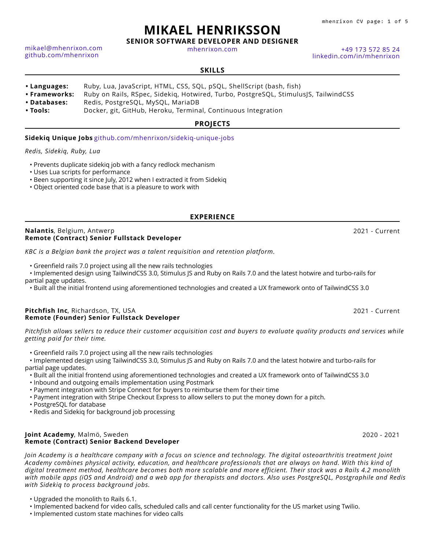mhenrixon CV page: 1 of 5

# **MIKAEL HENRIKSSON**

**SENIOR SOFTWARE DEVELOPER AND DESIGNER**

[mhenrixon.com](https://www.mhenrixon.com) [+49 173 572 85 24](tel:+491735728524)

[linkedin.com/in/mhenrixon](https://linkedin.com/in/mhenrixon)

#### **SKILLS**

- **• Languages:** Ruby, Lua, JavaScript, HTML, CSS, SQL, pSQL, ShellScript (bash, fish)
- **• Frameworks:** Ruby on Rails, RSpec, Sidekiq, Hotwired, Turbo, PostgreSQL, StimulusJS, TailwindCSS
- **• Databases:** Redis, PostgreSQL, MySQL, MariaDB
- **• Tools:** Docker, git, GitHub, Heroku, Terminal, Continuous Integration

#### **PROJECTS**

#### **Sidekiq Unique Jobs** [github.com/mhenrixon/sidekiq-unique-jobs](https://github.com/mhenrixon/sidekiq-unique-jobs)

#### *Redis, Sidekiq, Ruby, Lua*

[mikael@mhenrixon.com](mailto:mikael@mhenrixon.com) [github.com/mhenrixon](https://github.com/mhenrixon)

- Prevents duplicate sidekiq job with a fancy redlock mechanism
- Uses Lua scripts for performance
- Been supporting it since July, 2012 when I extracted it from Sidekig
- Object oriented code base that is a pleasure to work with

#### **EXPERIENCE**

#### **Nalantis**, Belgium, Antwerp 2021 - Current **Remote (Contract) Senior Fullstack Developer**

*KBC is a Belgian bank the project was a talent requisition and retention platform.*

• Greenfield rails 7.0 project using all the new rails technologies

• Implemented design using TailwindCSS 3.0, Stimulus JS and Ruby on Rails 7.0 and the latest hotwire and turbo-rails for partial page updates.

• Built all the initial frontend using aforementioned technologies and created a UX framework onto of TailwindCSS 3.0

#### **Pitchfish Inc**, Richardson, TX, USA 2021 - Current **Remote (Founder) Senior Fullstack Developer**

*Pitchfish allows sellers to reduce their customer acquisition cost and buyers to evaluate quality products and services while getting paid for their time.*

• Greenfield rails 7.0 project using all the new rails technologies

• Implemented design using TailwindCSS 3.0, Stimulus JS and Ruby on Rails 7.0 and the latest hotwire and turbo-rails for partial page updates.

- Built all the initial frontend using aforementioned technologies and created a UX framework onto of TailwindCSS 3.0
- Inbound and outgoing emails implementation using Postmark
- Payment integration with Stripe Connect for buyers to reimburse them for their time
- Payment integration with Stripe Checkout Express to allow sellers to put the money down for a pitch.
- PostgreSQL for database
- Redis and Sidekiq for background job processing

#### **Joint Academy**, Malmö, Sweden 2020 - 2021 **Remote (Contract) Senior Backend Developer**

*Join Academy is a healthcare company with a focus on science and technology. The digital osteoarthritis treatment Joint Academy combines physical activity, education, and healthcare professionals that are always on hand. With this kind of digital treatment method, healthcare becomes both more scalable and more efficient. Their stack was a Rails 4.2 monolith with mobile apps (iOS and Android) and a web app for therapists and doctors. Also uses PostgreSQL, Postgraphile and Redis with Sidekiq to process background jobs.*

- Upgraded the monolith to Rails 6.1.
- Implemented backend for video calls, scheduled calls and call center functionality for the US market using Twilio.
- Implemented custom state machines for video calls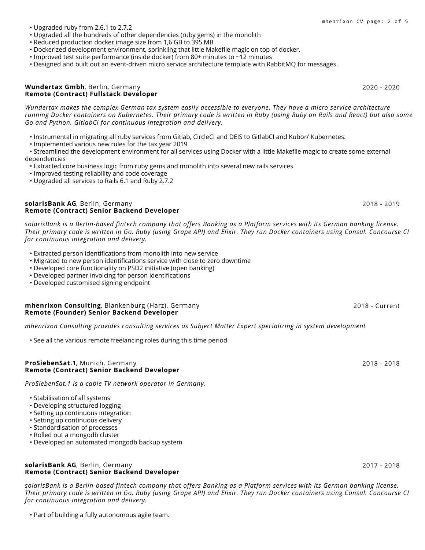### **solarisBank AG**, Berlin, Germany 2017 - 2018 **Remote (Contract) Senior Backend Developer**

*solarisBank is a Berlin-based fintech company that offers Banking as a Platform services with its German banking license. Their primary code is written in Go, Ruby (using Grape API) and Elixir. They run Docker containers using Consul. Concourse CI for continuous integration and delivery.*

• Part of building a fully autonomous agile team.

- Upgraded all the hundreds of other dependencies (ruby gems) in the monolith
- Reduced production docker image size from 1,6 GB to 395 MB
- Dockerized development environment, sprinkling that little Makefile magic on top of docker.
- Improved test suite performance (inside docker) from 80+ minutes to ~12 minutes
- Designed and built out an event-driven micro service architecture template with RabbitMQ for messages.

#### **Wundertax Gmbh**, Berlin, Germany 2020 - 2020 **Remote (Contract) Fullstack Developer**

*Wundertax makes the complex German tax system easily accessible to everyone. They have a micro service architecture running Docker containers on Kubernetes. Their primary code is written in Ruby (using Ruby on Rails and React) but also some Go and Python. GitlabCI for continuous integration and delivery.*

- Instrumental in migrating all ruby services from Gitlab, CircleCI and DEIS to GitlabCI and Kubor/ Kubernetes.
- Implemented various new rules for the tax year 2019

• Streamlined the development environment for all services using Docker with a little Makefile magic to create some external dependencies

- Extracted core business logic from ruby gems and monolith into several new rails services
- Improved testing reliability and code coverage
- Upgraded all services to Rails 6.1 and Ruby 2.7.2

#### **solarisBank AG**, Berlin, Germany 2018 - 2019 - 2019 - 2019 - 2019 - 2019 - 2019 - 2019 - 2019 - 2019 **Remote (Contract) Senior Backend Developer**

*solarisBank is a Berlin-based fintech company that offers Banking as a Platform services with its German banking license. Their primary code is written in Go, Ruby (using Grape API) and Elixir. They run Docker containers using Consul. Concourse CI for continuous integration and delivery.*

- Extracted person identifications from monolith into new service
- Migrated to new person identifications service with close to zero downtime
- Developed core functionality on PSD2 initiative (open banking)
- Developed partner invoicing for person identifications
- Developed customised signing endpoint

#### **mhenrixon Consulting**, Blankenburg (Harz), Germany 2018 - 2018 - Current **Remote (Founder) Senior Backend Developer**

*mhenrixon Consulting provides consulting services as Subject Matter Expert specializing in system development*

• See all the various remote freelancing roles during this time period

#### **ProSiebenSat.1**, Munich, Germany 2018 - 2018 **Remote (Contract) Senior Backend Developer**

*ProSiebenSat.1 is a cable TV network operator in Germany.*

- Stabilisation of all systems
- Developing structured logging
- Setting up continuous integration
- Setting up continuous delivery
- Standardisation of processes
- Rolled out a mongodb cluster
- Developed an automated mongodb backup system

mhenrixon CV page: 2 of 5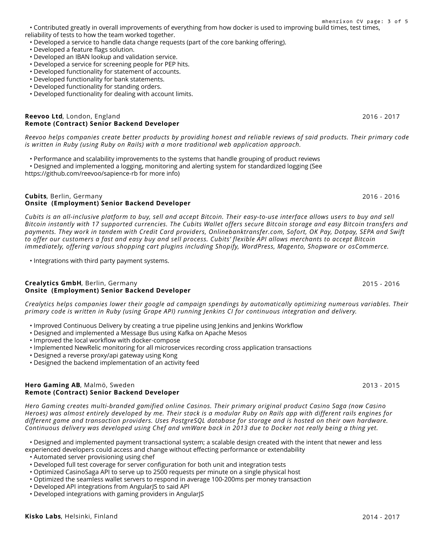• Contributed greatly in overall improvements of everything from how docker is used to improving build times, test times, reliability of tests to how the team worked together. mhenrixon CV page: 3 of 5

• Developed a service to handle data change requests (part of the core banking offering).

- Developed a feature flags solution.
- Developed an IBAN lookup and validation service.
- Developed a service for screening people for PEP hits.
- Developed functionality for statement of accounts.
- Developed functionality for bank statements.
- Developed functionality for standing orders.
- Developed functionality for dealing with account limits.

#### **Reevoo Ltd**, London, England 2016 - 2017 **Remote (Contract) Senior Backend Developer**

*Reevoo helps companies create better products by providing honest and reliable reviews of said products. Their primary code is written in Ruby (using Ruby on Rails) with a more traditional web application approach.*

- Performance and scalability improvements to the systems that handle grouping of product reviews
- Designed and implemented a logging, monitoring and alerting system for standardized logging (See https://github.com/reevoo/sapience-rb for more info)

#### **Cubits**, Berlin, Germany 2016 - 2016 **Onsite (Employment) Senior Backend Developer**

*Cubits is an all-inclusive platform to buy, sell and accept Bitcoin. Their easy-to-use interface allows users to buy and sell Bitcoin instantly with 17 supported currencies. The Cubits Wallet offers secure Bitcoin storage and easy Bitcoin transfers and payments. They work in tandem with Credit Card providers, Onlinebanktransfer.com, Sofort, OK Pay, Dotpay, SEPA and Swift to offer our customers a fast and easy buy and sell process. Cubits' flexible API allows merchants to accept Bitcoin immediately, offering various shopping cart plugins including Shopify, WordPress, Magento, Shopware or osCommerce.*

• Integrations with third party payment systems.

#### **Crealytics GmbH**, Berlin, Germany 2015 - 2016 **Onsite (Employment) Senior Backend Developer**

*Crealytics helps companies lower their google ad campaign spendings by automatically optimizing numerous variables. Their primary code is written in Ruby (using Grape API) running Jenkins CI for continuous integration and delivery.*

- Improved Continuous Delivery by creating a true pipeline using Jenkins and Jenkins Workflow
- Designed and implemented a Message Bus using Kafka on Apache Mesos
- Improved the local workflow with docker-compose
- Implemented NewRelic monitoring for all microservices recording cross application transactions
- Designed a reverse proxy/api gateway using Kong
- Designed the backend implementation of an activity feed

#### **Hero Gaming AB**, Malmö, Sweden 2015 - 2015 - 2016 2017 - 2015 - 2015 - 2015 - 2015 - 2015 - 2015 - 2015 - 2016 **Remote (Contract) Senior Backend Developer**

*Hero Gaming creates multi-branded gamified online Casinos. Their primary original product Casino Saga (now Casino Heroes) was almost entirely developed by me. Their stack is a modular Ruby on Rails app with different rails engines for different game and transaction providers. Uses PostgreSQL database for storage and is hosted on their own hardware. Continuous delivery was developed using Chef and vmWare back in 2013 due to Docker not really being a thing yet.*

• Designed and implemented payment transactional system; a scalable design created with the intent that newer and less experienced developers could access and change without effecting performance or extendability

- Automated server provisioning using chef
- Developed full test coverage for server configuration for both unit and integration tests
- Optimized CasinoSaga API to serve up to 2500 requests per minute on a single physical host
- Optimized the seamless wallet servers to respond in average 100-200ms per money transaction
- Developed API integrations from AngularJS to said API
- Developed integrations with gaming providers in AngularJS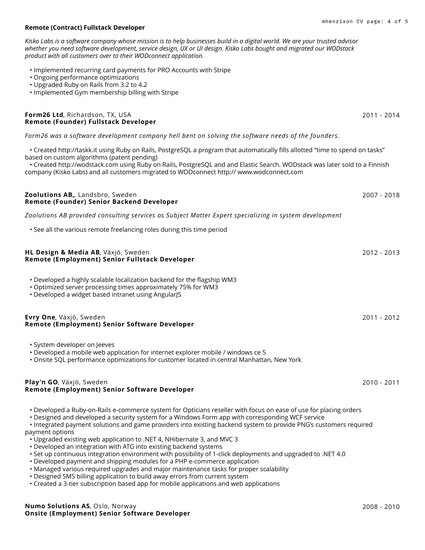# **Remote (Contract) Fullstack Developer**

*Kisko Labs is a software company whose mission is to help businesses build in a digital world. We are your trusted advisor whether you need software development, service design, UX or UI design. Kisko Labs bought and migrated our WODstack product with all customers over to their WODconnect application.*

- Implemented recurring card payments for PRO Accounts with Stripe
- Ongoing performance optimizations
- Upgraded Ruby on Rails from 3.2 to 4.2
- Implemented Gym membership billing with Stripe

## **Form26 Ltd**, Richardson, TX, USA 2011 - 2014 **Remote (Founder) Fullstack Developer**

# *Form26 was a software development company hell bent on solving the software needs of the founders.*

• Created http://taskk.it using Ruby on Rails, PostgreSQL a program that automatically fills allotted "time to spend on tasks" based on custom algorithms (patent pending)

• Created http://wodstack.com using Ruby on Rails, PostgreSQL and and Elastic Search. WODstack was later sold to a Finnish company (Kisko Labs) and all customers migrated to WODconnect http:// www.wodconnect.com

- **Remote (Founder) Senior Backend Developer** *Zoolutions AB provided consulting services as Subject Matter Expert specializing in system development* • See all the various remote freelancing roles during this time period **HL Design & Media AB**, Växjö, Sweden 2012 - 2013 **Remote (Employment) Senior Fullstack Developer** • Developed a highly scalable localization backend for the flagship WM3 • Optimized server processing times approximately 75% for WM3 • Developed a widget based intranet using AngularJS **Evry One**, Växjö, Sweden 2011 - 2012 **Remote (Employment) Senior Software Developer**
	- System developer on Jeeves

• Developed a mobile web application for internet explorer mobile / windows ce 5

• Onsite SQL performance optimizations for customer located in central Manhattan, New York

# **Play'n GO**, Växjö, Sweden 2010 - 2011 **Remote (Employment) Senior Software Developer**

• Developed a Ruby-on-Rails e-commerce system for Opticians reseller with focus on ease of use for placing orders

• Designed and developed a security system for a Windows Form app with corresponding WCF service

• Integrated payment solutions and game providers into existing backend system to provide PNG's customers required payment options

- Upgraded existing web application to .NET 4, NHibernate 3, and MVC 3
- Developed an integration with ATG into existing backend systems

• Set up continuous integration environment with possibility of 1-click deployments and upgraded to .NET 4.0

- Developed payment and shipping modules for a PHP e-commerce application
- Managed various required upgrades and major maintenance tasks for proper scalability
- Designed SMS billing application to build away errors from current system
- Created a 3-tier subscription based app for mobile applications and web applications

**Zoolutions AB,**, Landsbro, Sweden 2007 - 2018